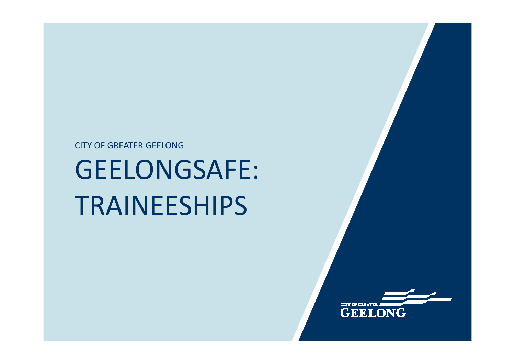# GEELONGSAFE: TRAINEESHIPS

CITY OF GREATER GEELONG

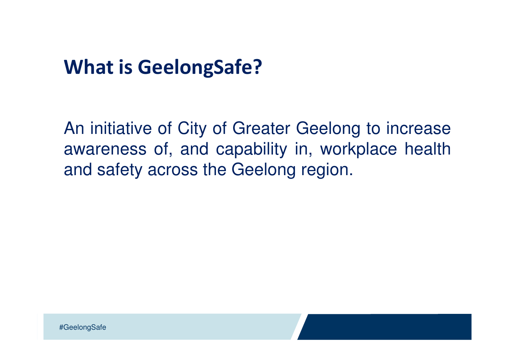## What is GeelongSafe?

An initiative of City of Greater Geelong to increase awareness of, and capability in, workplace healthand safety across the Geelong region.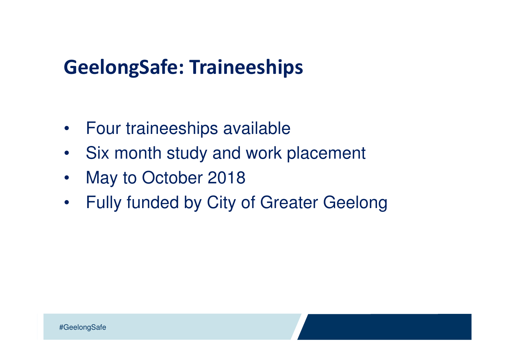- $\bullet$ Four traineeships available
- Six month study and work placement
- $\bullet$ May to October 2018
- •Fully funded by City of Greater Geelong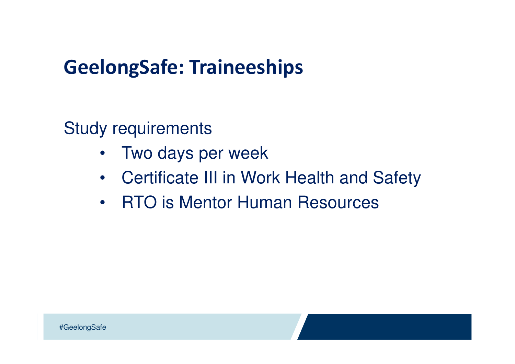Study requirements

- •Two days per week
- Certificate III in Work Health and Safety
- •RTO is Mentor Human Resources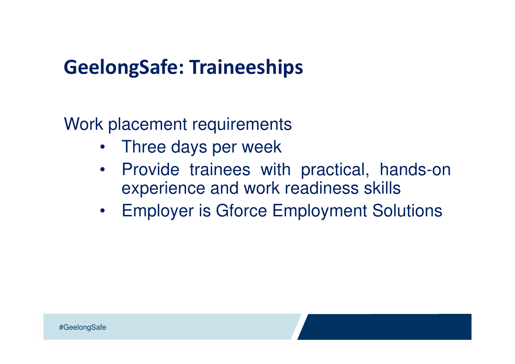Work placement requirements

- •Three days per week
- Provide trainees with practical, hands-on $\bullet$ experience and work readiness skills
- Employer is Gforce Employment Solutions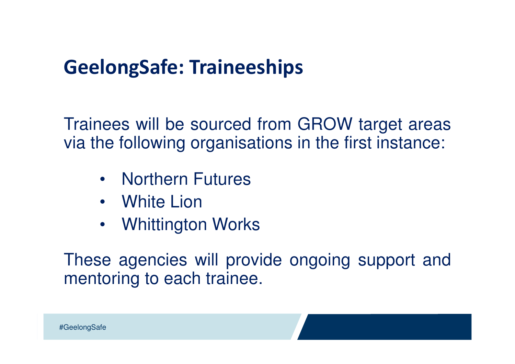Trainees will be sourced from GROW target areasvia the following organisations in the first instance:

- Northern Futures
- White Lion
- Whittington Works

These agencies will provide ongoing support andmentoring to each trainee.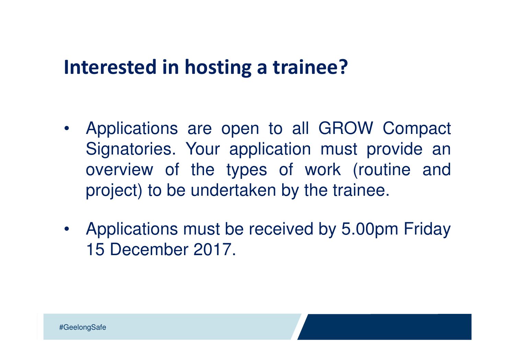#### Interested in hosting a trainee?

- Applications are open to all GROW Compact Signatories. Your application must provide an overview of the types of work (routine andproject) to be undertaken by the trainee.
- Applications must be received by 5.00pm Friday15 December 2017.